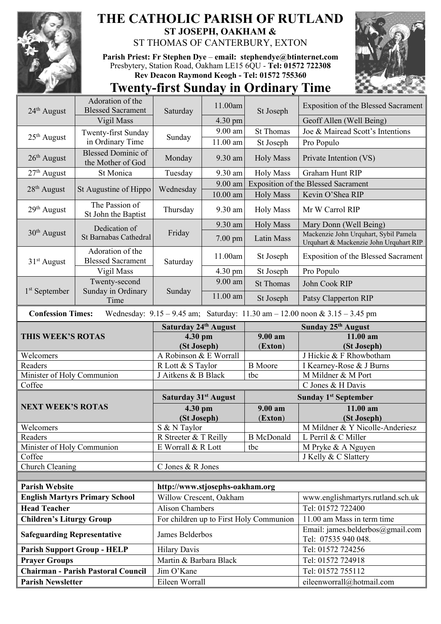

## **THE CATHOLIC PARISH OF RUTLAND ST JOSEPH, OAKHAM &**  ST THOMAS OF CANTERBURY, EXTON

**Parish Priest: Fr Stephen Dye** – **[email: stephendye@btinternet.com](mailto:email:%20%20stephendye@btinternet.com)** Presbytery, Station Road, Oakham LE15 6QU - **Tel: 01572 722308 Rev Deacon Raymond Keogh - Tel: 01572 755360**



## **Twenty-first Sunday in Ordinary Time**

|                                       | Adoration of the                               |                                       | 11.00am                                                                                                                                                                                                                                                                                                                                                                                                                                                                     | St Joseph                               | <b>Exposition of the Blessed Sacrament</b>                                      |
|---------------------------------------|------------------------------------------------|---------------------------------------|-----------------------------------------------------------------------------------------------------------------------------------------------------------------------------------------------------------------------------------------------------------------------------------------------------------------------------------------------------------------------------------------------------------------------------------------------------------------------------|-----------------------------------------|---------------------------------------------------------------------------------|
| 24 <sup>th</sup> August               | <b>Blessed Sacrament</b>                       | Saturday                              |                                                                                                                                                                                                                                                                                                                                                                                                                                                                             |                                         |                                                                                 |
|                                       | Vigil Mass                                     |                                       |                                                                                                                                                                                                                                                                                                                                                                                                                                                                             |                                         | Geoff Allen (Well Being)<br>Joe & Mairead Scott's Intentions                    |
| $25th$ August                         | Twenty-first Sunday                            | Sunday                                |                                                                                                                                                                                                                                                                                                                                                                                                                                                                             |                                         |                                                                                 |
|                                       | in Ordinary Time                               |                                       | 4.30 pm<br>9.00 am<br><b>St Thomas</b><br>11.00 am<br>St Joseph<br>9.30 am<br><b>Holy Mass</b><br>9.30 am<br><b>Holy Mass</b><br>9.00 am<br>10.00 am<br><b>Holy Mass</b><br>9.30 am<br><b>Holy Mass</b><br>9.30 am<br><b>Holy Mass</b><br>7.00 pm<br>Latin Mass<br>11.00am<br>St Joseph<br>4.30 pm<br>St Joseph<br>9.00 am<br><b>St Thomas</b><br>11.00 am<br>St Joseph<br>Wednesday: $9.15 - 9.45$ am; Saturday: $11.30$ am $- 12.00$ noon & $3.15 - 3.45$ pm<br>$9.00$ am | Pro Populo                              |                                                                                 |
| $26th$ August                         | <b>Blessed Dominic of</b><br>the Mother of God | Monday                                |                                                                                                                                                                                                                                                                                                                                                                                                                                                                             |                                         | Private Intention (VS)                                                          |
| $27th$ August                         | St Monica                                      | Tuesday                               |                                                                                                                                                                                                                                                                                                                                                                                                                                                                             |                                         | <b>Graham Hunt RIP</b>                                                          |
| 28 <sup>th</sup> August               | St Augustine of Hippo                          | Wednesday                             |                                                                                                                                                                                                                                                                                                                                                                                                                                                                             |                                         | <b>Exposition of the Blessed Sacrament</b>                                      |
|                                       |                                                |                                       |                                                                                                                                                                                                                                                                                                                                                                                                                                                                             |                                         | Kevin O'Shea RIP                                                                |
| $29th$ August                         | The Passion of<br>St John the Baptist          | Thursday                              |                                                                                                                                                                                                                                                                                                                                                                                                                                                                             |                                         | Mr W Carrol RIP                                                                 |
|                                       | Dedication of<br>St Barnabas Cathedral         | Friday                                |                                                                                                                                                                                                                                                                                                                                                                                                                                                                             |                                         | Mary Donn (Well Being)                                                          |
| 30 <sup>th</sup> August               |                                                |                                       |                                                                                                                                                                                                                                                                                                                                                                                                                                                                             |                                         | Mackenzie John Urquhart, Sybil Pamela<br>Urquhart & Mackenzie John Urquhart RIP |
| $31st$ August                         | Adoration of the<br><b>Blessed Sacrament</b>   | Saturday                              |                                                                                                                                                                                                                                                                                                                                                                                                                                                                             |                                         | Exposition of the Blessed Sacrament                                             |
|                                       | Vigil Mass                                     |                                       |                                                                                                                                                                                                                                                                                                                                                                                                                                                                             |                                         | Pro Populo                                                                      |
|                                       | Twenty-second<br>Sunday in Ordinary<br>Time    | Sunday                                |                                                                                                                                                                                                                                                                                                                                                                                                                                                                             |                                         | John Cook RIP                                                                   |
| 1 <sup>st</sup> September             |                                                |                                       |                                                                                                                                                                                                                                                                                                                                                                                                                                                                             |                                         | Patsy Clapperton RIP                                                            |
| <b>Confession Times:</b>              |                                                |                                       |                                                                                                                                                                                                                                                                                                                                                                                                                                                                             |                                         |                                                                                 |
|                                       |                                                | Saturday 24th August                  |                                                                                                                                                                                                                                                                                                                                                                                                                                                                             | Sunday 25th August                      |                                                                                 |
|                                       | THIS WEEK'S ROTAS                              |                                       | 4.30 pm                                                                                                                                                                                                                                                                                                                                                                                                                                                                     |                                         | 11.00 am                                                                        |
| Welcomers                             |                                                | (St Joseph)<br>A Robinson & E Worrall |                                                                                                                                                                                                                                                                                                                                                                                                                                                                             | (Exton)                                 | (St Joseph)<br>J Hickie & F Rhowbotham                                          |
| Readers                               |                                                | R Lott & S Taylor                     |                                                                                                                                                                                                                                                                                                                                                                                                                                                                             | <b>B</b> Moore                          | I Kearney-Rose & J Burns                                                        |
| Minister of Holy Communion            |                                                | J Aitkens & B Black                   |                                                                                                                                                                                                                                                                                                                                                                                                                                                                             | tbc                                     | M Mildner & M Port                                                              |
| Coffee                                |                                                |                                       |                                                                                                                                                                                                                                                                                                                                                                                                                                                                             |                                         | C Jones & H Davis                                                               |
|                                       |                                                | <b>Saturday 31st August</b>           |                                                                                                                                                                                                                                                                                                                                                                                                                                                                             | Sunday 1 <sup>st</sup> September        |                                                                                 |
|                                       | <b>NEXT WEEK'S ROTAS</b>                       |                                       | 4.30 pm                                                                                                                                                                                                                                                                                                                                                                                                                                                                     |                                         | 11.00 am                                                                        |
|                                       |                                                | (St Joseph)                           |                                                                                                                                                                                                                                                                                                                                                                                                                                                                             | 9.00 a <sub>m</sub><br>(Exton)          | (St Joseph)                                                                     |
| Welcomers                             |                                                | S & N Taylor                          |                                                                                                                                                                                                                                                                                                                                                                                                                                                                             |                                         | M Mildner & Y Nicolle-Anderiesz                                                 |
| Readers                               |                                                | R Streeter & T Reilly                 |                                                                                                                                                                                                                                                                                                                                                                                                                                                                             | <b>B</b> McDonald                       | L Perril & C Miller                                                             |
| Minister of Holy Communion            |                                                | E Worrall & R Lott<br>tbc             |                                                                                                                                                                                                                                                                                                                                                                                                                                                                             |                                         | M Pryke & A Nguyen                                                              |
| Coffee                                |                                                |                                       |                                                                                                                                                                                                                                                                                                                                                                                                                                                                             |                                         | J Kelly & C Slattery                                                            |
| Church Cleaning                       |                                                | C Jones & R Jones                     |                                                                                                                                                                                                                                                                                                                                                                                                                                                                             |                                         |                                                                                 |
|                                       |                                                |                                       |                                                                                                                                                                                                                                                                                                                                                                                                                                                                             |                                         |                                                                                 |
| <b>Parish Website</b>                 |                                                |                                       |                                                                                                                                                                                                                                                                                                                                                                                                                                                                             |                                         |                                                                                 |
| <b>English Martyrs Primary School</b> |                                                | http://www.stjosephs-oakham.org       |                                                                                                                                                                                                                                                                                                                                                                                                                                                                             |                                         |                                                                                 |
|                                       |                                                | Willow Crescent, Oakham               |                                                                                                                                                                                                                                                                                                                                                                                                                                                                             |                                         | www.englishmartyrs.rutland.sch.uk                                               |
| <b>Head Teacher</b>                   |                                                | <b>Alison Chambers</b>                |                                                                                                                                                                                                                                                                                                                                                                                                                                                                             |                                         | Tel: 01572 722400                                                               |
| <b>Children's Liturgy Group</b>       |                                                |                                       |                                                                                                                                                                                                                                                                                                                                                                                                                                                                             | For children up to First Holy Communion | 11.00 am Mass in term time                                                      |
| <b>Safeguarding Representative</b>    |                                                | James Belderbos                       |                                                                                                                                                                                                                                                                                                                                                                                                                                                                             |                                         | Email: james.belderbos@gmail.com<br>Tel: 07535 940 048.                         |
|                                       | <b>Parish Support Group - HELP</b>             | <b>Hilary Davis</b>                   |                                                                                                                                                                                                                                                                                                                                                                                                                                                                             |                                         | Tel: 01572 724256                                                               |
| <b>Prayer Groups</b>                  |                                                | Martin & Barbara Black                |                                                                                                                                                                                                                                                                                                                                                                                                                                                                             |                                         | Tel: 01572 724918                                                               |
|                                       | <b>Chairman - Parish Pastoral Council</b>      | Jim O'Kane                            |                                                                                                                                                                                                                                                                                                                                                                                                                                                                             |                                         | Tel: 01572 755112                                                               |